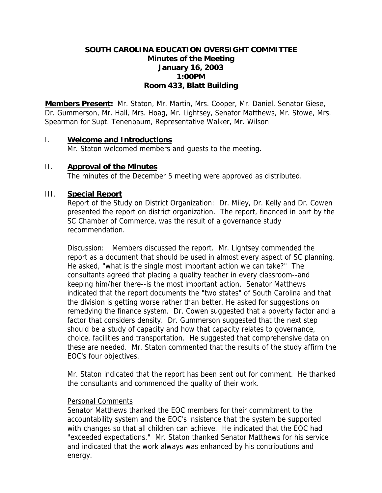# **SOUTH CAROLINA EDUCATION OVERSIGHT COMMITTEE Minutes of the Meeting January 16, 2003 1:00PM Room 433, Blatt Building**

**Members Present:** Mr. Staton, Mr. Martin, Mrs. Cooper, Mr. Daniel, Senator Giese, Dr. Gummerson, Mr. Hall, Mrs. Hoag, Mr. Lightsey, Senator Matthews, Mr. Stowe, Mrs. Spearman for Supt. Tenenbaum, Representative Walker, Mr. Wilson

### I. **Welcome and Introductions**

Mr. Staton welcomed members and guests to the meeting.

### II. **Approval of the Minutes**

The minutes of the December 5 meeting were approved as distributed.

## III. **Special Report**

Report of the Study on District Organization: Dr. Miley, Dr. Kelly and Dr. Cowen presented the report on district organization. The report, financed in part by the SC Chamber of Commerce, was the result of a governance study recommendation.

Discussion: Members discussed the report. Mr. Lightsey commended the report as a document that should be used in almost every aspect of SC planning. He asked, "what is the single most important action we can take?" The consultants agreed that placing a quality teacher in every classroom--and keeping him/her there--is the most important action. Senator Matthews indicated that the report documents the "two states" of South Carolina and that the division is getting worse rather than better. He asked for suggestions on remedying the finance system. Dr. Cowen suggested that a poverty factor and a factor that considers density. Dr. Gummerson suggested that the next step should be a study of capacity and how that capacity relates to governance, choice, facilities and transportation. He suggested that comprehensive data on these are needed. Mr. Staton commented that the results of the study affirm the EOC's four objectives.

Mr. Staton indicated that the report has been sent out for comment. He thanked the consultants and commended the quality of their work.

### Personal Comments

Senator Matthews thanked the EOC members for their commitment to the accountability system and the EOC's insistence that the system be supported with changes so that all children can achieve. He indicated that the EOC had "exceeded expectations." Mr. Staton thanked Senator Matthews for his service and indicated that the work always was enhanced by his contributions and energy.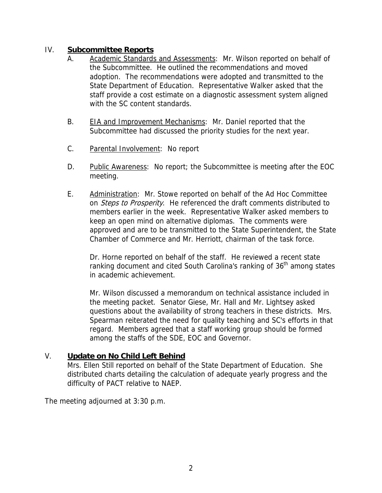# IV. **Subcommittee Reports**

- A. Academic Standards and Assessments: Mr. Wilson reported on behalf of the Subcommittee. He outlined the recommendations and moved adoption. The recommendations were adopted and transmitted to the State Department of Education. Representative Walker asked that the staff provide a cost estimate on a diagnostic assessment system aligned with the SC content standards.
- B. EIA and Improvement Mechanisms: Mr. Daniel reported that the Subcommittee had discussed the priority studies for the next year.
- C. Parental Involvement: No report
- D. Public Awareness: No report; the Subcommittee is meeting after the EOC meeting.
- E. Administration: Mr. Stowe reported on behalf of the Ad Hoc Committee on *Steps to Prosperity*. He referenced the draft comments distributed to members earlier in the week. Representative Walker asked members to keep an open mind on alternative diplomas. The comments were approved and are to be transmitted to the State Superintendent, the State Chamber of Commerce and Mr. Herriott, chairman of the task force.

Dr. Horne reported on behalf of the staff. He reviewed a recent state ranking document and cited South Carolina's ranking of  $36<sup>th</sup>$  among states in academic achievement.

Mr. Wilson discussed a memorandum on technical assistance included in the meeting packet. Senator Giese, Mr. Hall and Mr. Lightsey asked questions about the availability of strong teachers in these districts. Mrs. Spearman reiterated the need for quality teaching and SC's efforts in that regard. Members agreed that a staff working group should be formed among the staffs of the SDE, EOC and Governor.

# V. **Update on No Child Left Behind**

Mrs. Ellen Still reported on behalf of the State Department of Education. She distributed charts detailing the calculation of adequate yearly progress and the difficulty of PACT relative to NAEP.

The meeting adjourned at 3:30 p.m.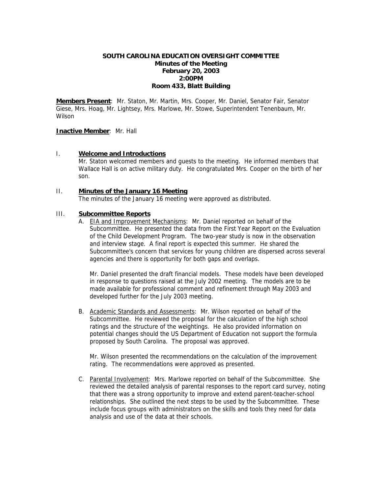#### **SOUTH CAROLINA EDUCATION OVERSIGHT COMMITTEE Minutes of the Meeting February 20, 2003 2:00PM Room 433, Blatt Building**

**Members Present**: Mr. Staton, Mr. Martin, Mrs. Cooper, Mr. Daniel, Senator Fair, Senator Giese, Mrs. Hoag, Mr. Lightsey, Mrs. Marlowe, Mr. Stowe, Superintendent Tenenbaum, Mr. **Wilson** 

#### **Inactive Member**: Mr. Hall

#### I. **Welcome and Introductions**

Mr. Staton welcomed members and guests to the meeting. He informed members that Wallace Hall is on active military duty. He congratulated Mrs. Cooper on the birth of her son.

#### II. **Minutes of the January 16 Meeting**

The minutes of the January 16 meeting were approved as distributed.

### III. **Subcommittee Reports**

A. EIA and Improvement Mechanisms: Mr. Daniel reported on behalf of the Subcommittee. He presented the data from the First Year Report on the Evaluation of the Child Development Program. The two-year study is now in the observation and interview stage. A final report is expected this summer. He shared the Subcommittee's concern that services for young children are dispersed across several agencies and there is opportunity for both gaps and overlaps.

Mr. Daniel presented the draft financial models. These models have been developed in response to questions raised at the July 2002 meeting. The models are to be made available for professional comment and refinement through May 2003 and developed further for the July 2003 meeting.

B. Academic Standards and Assessments: Mr. Wilson reported on behalf of the Subcommittee. He reviewed the proposal for the calculation of the high school ratings and the structure of the weightings. He also provided information on potential changes should the US Department of Education not support the formula proposed by South Carolina. The proposal was approved.

Mr. Wilson presented the recommendations on the calculation of the improvement rating. The recommendations were approved as presented.

C. Parental Involvement: Mrs. Marlowe reported on behalf of the Subcommittee. She reviewed the detailed analysis of parental responses to the report card survey, noting that there was a strong opportunity to improve and extend parent-teacher-school relationships. She outlined the next steps to be used by the Subcommittee. These include focus groups with administrators on the skills and tools they need for data analysis and use of the data at their schools.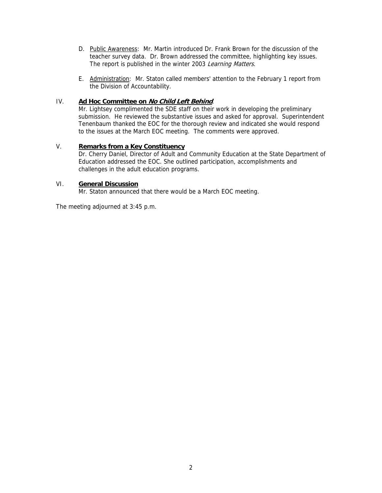- D. Public Awareness: Mr. Martin introduced Dr. Frank Brown for the discussion of the teacher survey data. Dr. Brown addressed the committee, highlighting key issues. The report is published in the winter 2003 Learning Matters.
- E. Administration: Mr. Staton called members' attention to the February 1 report from the Division of Accountability.

### IV. **Ad Hoc Committee on No Child Left Behind**.

Mr. Lightsey complimented the SDE staff on their work in developing the preliminary submission. He reviewed the substantive issues and asked for approval. Superintendent Tenenbaum thanked the EOC for the thorough review and indicated she would respond to the issues at the March EOC meeting. The comments were approved.

### V. **Remarks from a Key Constituency**

Dr. Cherry Daniel, Director of Adult and Community Education at the State Department of Education addressed the EOC. She outlined participation, accomplishments and challenges in the adult education programs.

### VI. **General Discussion**

Mr. Staton announced that there would be a March EOC meeting.

The meeting adjourned at 3:45 p.m.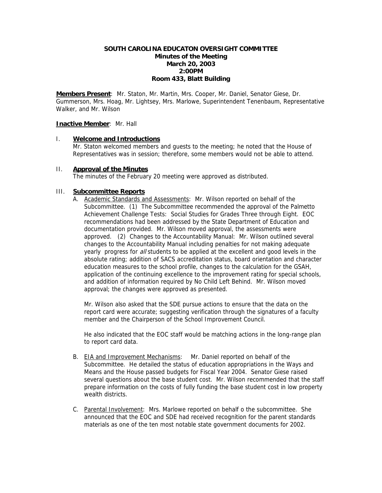### **SOUTH CAROLINA EDUCATON OVERSIGHT COMMITTEE Minutes of the Meeting March 20, 2003 2:00PM Room 433, Blatt Building**

**Members Present**: Mr. Staton, Mr. Martin, Mrs. Cooper, Mr. Daniel, Senator Giese, Dr. Gummerson, Mrs. Hoag, Mr. Lightsey, Mrs. Marlowe, Superintendent Tenenbaum, Representative Walker, and Mr. Wilson

#### **Inactive Member**: Mr. Hall

I. **Welcome and Introductions** Mr. Staton welcomed members and guests to the meeting; he noted that the House of Representatives was in session; therefore, some members would not be able to attend.

#### II. **Approval of the Minutes**

The minutes of the February 20 meeting were approved as distributed.

### III. **Subcommittee Reports**

A. Academic Standards and Assessments: Mr. Wilson reported on behalf of the Subcommittee. (1) The Subcommittee recommended the approval of the Palmetto Achievement Challenge Tests: Social Studies for Grades Three through Eight. EOC recommendations had been addressed by the State Department of Education and documentation provided. Mr. Wilson moved approval, the assessments were approved. (2) Changes to the Accountability Manual: Mr. Wilson outlined several changes to the Accountability Manual including penalties for not making adequate yearly progress for *all* students to be applied at the excellent and good levels in the absolute rating; addition of SACS accreditation status, board orientation and character education measures to the school profile, changes to the calculation for the GSAH, application of the continuing excellence to the improvement rating for special schools, and addition of information required by No Child Left Behind. Mr. Wilson moved approval; the changes were approved as presented.

Mr. Wilson also asked that the SDE pursue actions to ensure that the data on the report card were accurate; suggesting verification through the signatures of a faculty member and the Chairperson of the School Improvement Council.

He also indicated that the EOC staff would be matching actions in the long-range plan to report card data.

- B. EIA and Improvement Mechanisms: Mr. Daniel reported on behalf of the Subcommittee. He detailed the status of education appropriations in the Ways and Means and the House passed budgets for Fiscal Year 2004. Senator Giese raised several questions about the base student cost. Mr. Wilson recommended that the staff prepare information on the costs of fully funding the base student cost in low property wealth districts.
- C. Parental Involvement: Mrs. Marlowe reported on behalf o the subcommittee. She announced that the EOC and SDE had received recognition for the parent standards materials as one of the ten most notable state government documents for 2002.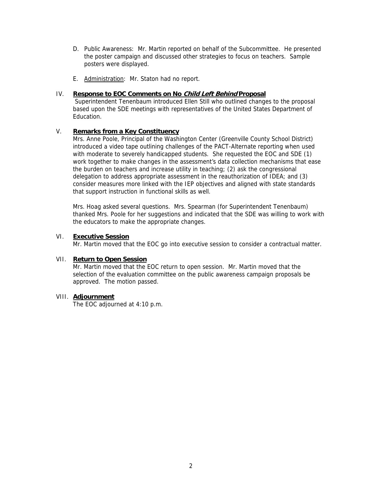- D. Public Awareness: Mr. Martin reported on behalf of the Subcommittee. He presented the poster campaign and discussed other strategies to focus on teachers. Sample posters were displayed.
- E. Administration: Mr. Staton had no report.

#### IV. **Response to EOC Comments on No Child Left Behind Proposal**

 Superintendent Tenenbaum introduced Ellen Still who outlined changes to the proposal based upon the SDE meetings with representatives of the United States Department of Education.

### V. **Remarks from a Key Constituency**

Mrs. Anne Poole, Principal of the Washington Center (Greenville County School District) introduced a video tape outlining challenges of the PACT-Alternate reporting when used with moderate to severely handicapped students. She requested the EOC and SDE (1) work together to make changes in the assessment's data collection mechanisms that ease the burden on teachers and increase utility in teaching; (2) ask the congressional delegation to address appropriate assessment in the reauthorization of IDEA; and (3) consider measures more linked with the IEP objectives and aligned with state standards that support instruction in functional skills as well.

Mrs. Hoag asked several questions. Mrs. Spearman (for Superintendent Tenenbaum) thanked Mrs. Poole for her suggestions and indicated that the SDE was willing to work with the educators to make the appropriate changes.

#### VI. **Executive Session**

Mr. Martin moved that the EOC go into executive session to consider a contractual matter.

#### VII. **Return to Open Session**

 Mr. Martin moved that the EOC return to open session. Mr. Martin moved that the selection of the evaluation committee on the public awareness campaign proposals be approved. The motion passed.

### VIII. **Adjournment**

The EOC adjourned at 4:10 p.m.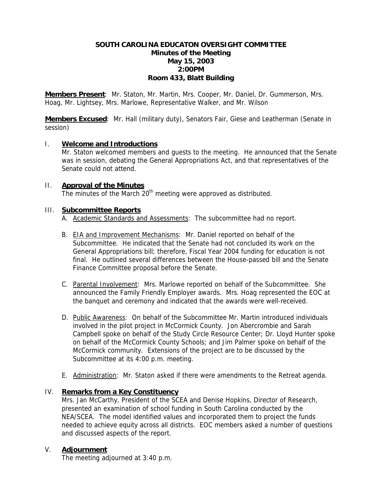### **SOUTH CAROLINA EDUCATON OVERSIGHT COMMITTEE Minutes of the Meeting May 15, 2003 2:00PM Room 433, Blatt Building**

**Members Present**: Mr. Staton, Mr. Martin, Mrs. Cooper, Mr. Daniel, Dr. Gummerson, Mrs. Hoag, Mr. Lightsey, Mrs. Marlowe, Representative Walker, and Mr. Wilson

**Members Excused**: Mr. Hall (military duty), Senators Fair, Giese and Leatherman (Senate in session)

### I. **Welcome and Introductions**

 Mr. Staton welcomed members and guests to the meeting. He announced that the Senate was in session, debating the General Appropriations Act, and that representatives of the Senate could not attend.

### II. **Approval of the Minutes**

The minutes of the March  $20<sup>th</sup>$  meeting were approved as distributed.

### III. **Subcommittee Reports**

- A. Academic Standards and Assessments: The subcommittee had no report.
- B. EIA and Improvement Mechanisms: Mr. Daniel reported on behalf of the Subcommittee. He indicated that the Senate had not concluded its work on the General Appropriations bill; therefore, Fiscal Year 2004 funding for education is not final. He outlined several differences between the House-passed bill and the Senate Finance Committee proposal before the Senate.
- C. Parental Involvement: Mrs. Marlowe reported on behalf of the Subcommittee. She announced the Family Friendly Employer awards. Mrs. Hoag represented the EOC at the banquet and ceremony and indicated that the awards were well-received.
- D. Public Awareness: On behalf of the Subcommittee Mr. Martin introduced individuals involved in the pilot project in McCormick County. Jon Abercrombie and Sarah Campbell spoke on behalf of the Study Circle Resource Center; Dr. Lloyd Hunter spoke on behalf of the McCormick County Schools; and Jim Palmer spoke on behalf of the McCormick community. Extensions of the project are to be discussed by the Subcommittee at its 4:00 p.m. meeting.
- E. Administration: Mr. Staton asked if there were amendments to the Retreat agenda.

### IV. **Remarks from a Key Constituency**

Mrs. Jan McCarthy, President of the SCEA and Denise Hopkins, Director of Research, presented an examination of school funding in South Carolina conducted by the NEA/SCEA. The model identified values and incorporated them to project the funds needed to achieve equity across all districts. EOC members asked a number of questions and discussed aspects of the report.

### V. **Adjournment**

The meeting adjourned at 3:40 p.m.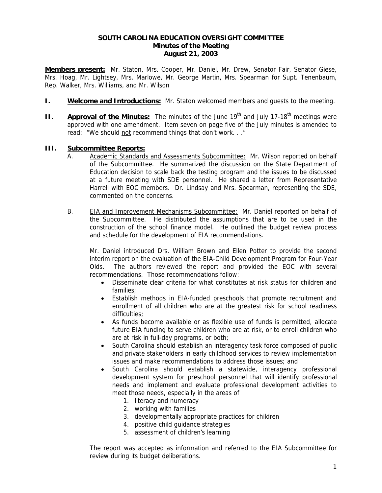### **SOUTH CAROLINA EDUCATION OVERSIGHT COMMITTEE Minutes of the Meeting August 21, 2003**

**Members present:** Mr. Staton, Mrs. Cooper, Mr. Daniel, Mr. Drew, Senator Fair, Senator Giese, Mrs. Hoag, Mr. Lightsey, Mrs. Marlowe, Mr. George Martin, Mrs. Spearman for Supt. Tenenbaum, Rep. Walker, Mrs. Williams, and Mr. Wilson

- **I. Welcome and Introductions:** Mr. Staton welcomed members and guests to the meeting.
- **II.** Approval of the Minutes: The minutes of the June 19<sup>th</sup> and July 17-18<sup>th</sup> meetings were approved with one amendment. Item seven on page five of the July minutes is amended to read: "We should not recommend things that don't work. . ."

### **III. Subcommittee Reports:**

- A. Academic Standards and Assessments Subcommittee: Mr. Wilson reported on behalf of the Subcommittee. He summarized the discussion on the State Department of Education decision to scale back the testing program and the issues to be discussed at a future meeting with SDE personnel. He shared a letter from Representative Harrell with EOC members. Dr. Lindsay and Mrs. Spearman, representing the SDE, commented on the concerns.
- B. EIA and Improvement Mechanisms Subcommittee: Mr. Daniel reported on behalf of the Subcommittee. He distributed the assumptions that are to be used in the construction of the school finance model. He outlined the budget review process and schedule for the development of EIA recommendations.

Mr. Daniel introduced Drs. William Brown and Ellen Potter to provide the second interim report on the evaluation of the EIA-Child Development Program for Four-Year Olds. The authors reviewed the report and provided the EOC with several recommendations. Those recommendations follow:

- Disseminate clear criteria for what constitutes at risk status for children and families;
- Establish methods in EIA-funded preschools that promote recruitment and enrollment of all children who are at the greatest risk for school readiness difficulties;
- As funds become available or as flexible use of funds is permitted, allocate future EIA funding to serve children who are at risk, or to enroll children who are at risk in full-day programs, or both;
- South Carolina should establish an interagency task force composed of public and private stakeholders in early childhood services to review implementation issues and make recommendations to address those issues; and
- South Carolina should establish a statewide, interagency professional development system for preschool personnel that will identify professional needs and implement and evaluate professional development activities to meet those needs, especially in the areas of
	- 1. literacy and numeracy
	- 2. working with families
	- 3. developmentally appropriate practices for children
	- 4. positive child guidance strategies
	- 5. assessment of children's learning

The report was accepted as information and referred to the EIA Subcommittee for review during its budget deliberations.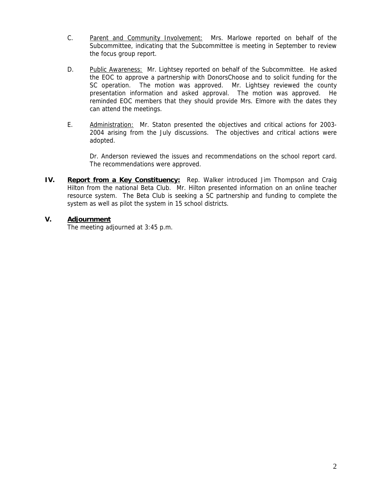- C. Parent and Community Involvement: Mrs. Marlowe reported on behalf of the Subcommittee, indicating that the Subcommittee is meeting in September to review the focus group report.
- D. Public Awareness: Mr. Lightsey reported on behalf of the Subcommittee. He asked the EOC to approve a partnership with DonorsChoose and to solicit funding for the SC operation. The motion was approved. Mr. Lightsey reviewed the county presentation information and asked approval. The motion was approved. He reminded EOC members that they should provide Mrs. Elmore with the dates they can attend the meetings.
- E. Administration: Mr. Staton presented the objectives and critical actions for 2003- 2004 arising from the July discussions. The objectives and critical actions were adopted.

Dr. Anderson reviewed the issues and recommendations on the school report card. The recommendations were approved.

**IV.** Report from a Key Constituency: Rep. Walker introduced Jim Thompson and Craig Hilton from the national Beta Club. Mr. Hilton presented information on an online teacher resource system. The Beta Club is seeking a SC partnership and funding to complete the system as well as pilot the system in 15 school districts.

### **V. Adjournment**

The meeting adjourned at 3:45 p.m.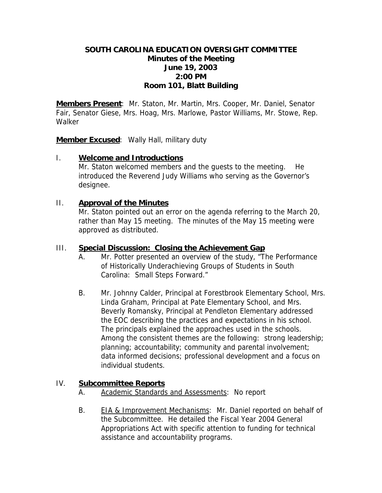# **SOUTH CAROLINA EDUCATION OVERSIGHT COMMITTEE Minutes of the Meeting June 19, 2003 2:00 PM Room 101, Blatt Building**

**Members Present**: Mr. Staton, Mr. Martin, Mrs. Cooper, Mr. Daniel, Senator Fair, Senator Giese, Mrs. Hoag, Mrs. Marlowe, Pastor Williams, Mr. Stowe, Rep. **Walker** 

**Member Excused**: Wally Hall, military duty

## I. **Welcome and Introductions**

Mr. Staton welcomed members and the quests to the meeting. He introduced the Reverend Judy Williams who serving as the Governor's designee.

## II. **Approval of the Minutes**

Mr. Staton pointed out an error on the agenda referring to the March 20, rather than May 15 meeting. The minutes of the May 15 meeting were approved as distributed.

## III. **Special Discussion: Closing the Achievement Gap**

- A. Mr. Potter presented an overview of the study, "The Performance of Historically Underachieving Groups of Students in South Carolina: Small Steps Forward."
- B. Mr. Johnny Calder, Principal at Forestbrook Elementary School, Mrs. Linda Graham, Principal at Pate Elementary School, and Mrs. Beverly Romansky, Principal at Pendleton Elementary addressed the EOC describing the practices and expectations in his school. The principals explained the approaches used in the schools. Among the consistent themes are the following: strong leadership; planning; accountability; community and parental involvement; data informed decisions; professional development and a focus on individual students.

# IV. **Subcommittee Reports**

- A. Academic Standards and Assessments: No report
- B. EIA & Improvement Mechanisms: Mr. Daniel reported on behalf of the Subcommittee. He detailed the Fiscal Year 2004 General Appropriations Act with specific attention to funding for technical assistance and accountability programs.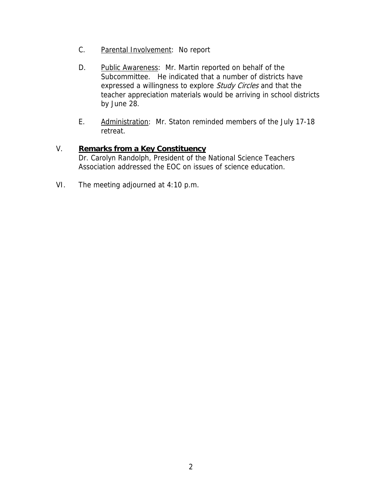- C. Parental Involvement: No report
- D. Public Awareness: Mr. Martin reported on behalf of the Subcommittee. He indicated that a number of districts have expressed a willingness to explore *Study Circles* and that the teacher appreciation materials would be arriving in school districts by June 28.
- E. Administration: Mr. Staton reminded members of the July 17-18 retreat.

# V. **Remarks from a Key Constituency**

Dr. Carolyn Randolph, President of the National Science Teachers Association addressed the EOC on issues of science education.

VI. The meeting adjourned at 4:10 p.m.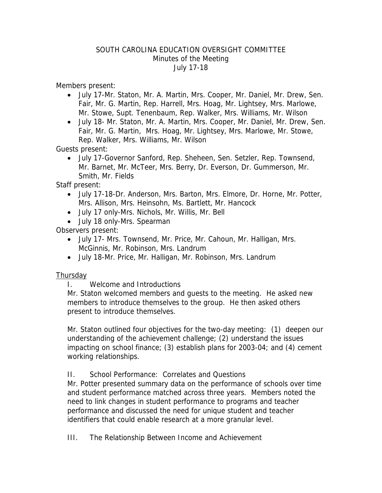## SOUTH CAROLINA EDUCATION OVERSIGHT COMMITTEE Minutes of the Meeting July 17-18

Members present:

- July 17-Mr. Staton, Mr. A. Martin, Mrs. Cooper, Mr. Daniel, Mr. Drew, Sen. Fair, Mr. G. Martin, Rep. Harrell, Mrs. Hoag, Mr. Lightsey, Mrs. Marlowe, Mr. Stowe, Supt. Tenenbaum, Rep. Walker, Mrs. Williams, Mr. Wilson
- July 18- Mr. Staton, Mr. A. Martin, Mrs. Cooper, Mr. Daniel, Mr. Drew, Sen. Fair, Mr. G. Martin, Mrs. Hoag, Mr. Lightsey, Mrs. Marlowe, Mr. Stowe, Rep. Walker, Mrs. Williams, Mr. Wilson

Guests present:

• July 17-Governor Sanford, Rep. Sheheen, Sen. Setzler, Rep. Townsend, Mr. Barnet, Mr. McTeer, Mrs. Berry, Dr. Everson, Dr. Gummerson, Mr. Smith, Mr. Fields

Staff present:

- July 17-18-Dr. Anderson, Mrs. Barton, Mrs. Elmore, Dr. Horne, Mr. Potter, Mrs. Allison, Mrs. Heinsohn, Ms. Bartlett, Mr. Hancock
- July 17 only-Mrs. Nichols, Mr. Willis, Mr. Bell
- July 18 only-Mrs. Spearman

Observers present:

- July 17- Mrs. Townsend, Mr. Price, Mr. Cahoun, Mr. Halligan, Mrs. McGinnis, Mr. Robinson, Mrs. Landrum
- July 18-Mr. Price, Mr. Halligan, Mr. Robinson, Mrs. Landrum

# **Thursday**

I. Welcome and Introductions

Mr. Staton welcomed members and guests to the meeting. He asked new members to introduce themselves to the group. He then asked others present to introduce themselves.

Mr. Staton outlined four objectives for the two-day meeting: (1) deepen our understanding of the achievement challenge; (2) understand the issues impacting on school finance; (3) establish plans for 2003-04; and (4) cement working relationships.

# II. School Performance: Correlates and Questions

Mr. Potter presented summary data on the performance of schools over time and student performance matched across three years. Members noted the need to link changes in student performance to programs and teacher performance and discussed the need for unique student and teacher identifiers that could enable research at a more granular level.

III. The Relationship Between Income and Achievement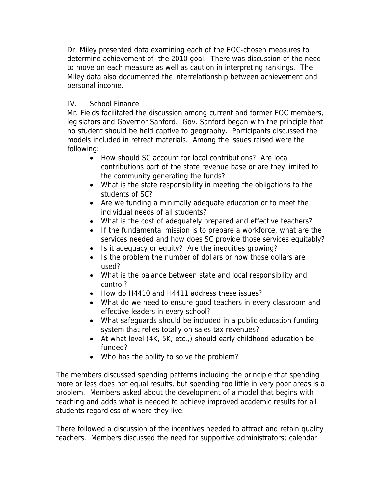Dr. Miley presented data examining each of the EOC-chosen measures to determine achievement of the 2010 goal. There was discussion of the need to move on each measure as well as caution in interpreting rankings. The Miley data also documented the interrelationship between achievement and personal income.

# IV. School Finance

Mr. Fields facilitated the discussion among current and former EOC members, legislators and Governor Sanford. Gov. Sanford began with the principle that no student should be held captive to geography. Participants discussed the models included in retreat materials. Among the issues raised were the following:

- How should SC account for local contributions? Are local contributions part of the state revenue base or are they limited to the community generating the funds?
- What is the state responsibility in meeting the obligations to the students of SC?
- Are we funding a minimally adequate education or to meet the individual needs of all students?
- What is the cost of adequately prepared and effective teachers?
- If the fundamental mission is to prepare a workforce, what are the services needed and how does SC provide those services equitably?
- Is it adequacy or equity? Are the inequities growing?
- Is the problem the number of dollars or how those dollars are used?
- What is the balance between state and local responsibility and control?
- How do H4410 and H4411 address these issues?
- What do we need to ensure good teachers in every classroom and effective leaders in every school?
- What safeguards should be included in a public education funding system that relies totally on sales tax revenues?
- At what level (4K, 5K, etc.,) should early childhood education be funded?
- Who has the ability to solve the problem?

The members discussed spending patterns including the principle that spending more or less does not equal results, but spending too little in very poor areas is a problem. Members asked about the development of a model that begins with teaching and adds what is needed to achieve improved academic results for all students regardless of where they live.

There followed a discussion of the incentives needed to attract and retain quality teachers. Members discussed the need for supportive administrators; calendar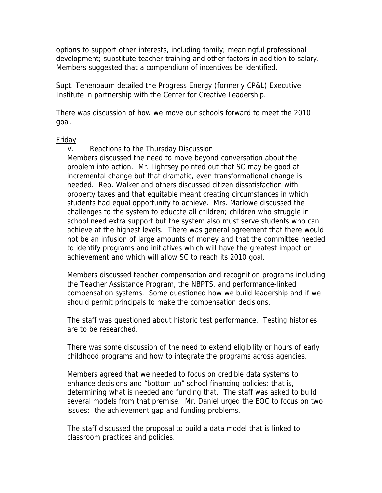options to support other interests, including family; meaningful professional development; substitute teacher training and other factors in addition to salary. Members suggested that a compendium of incentives be identified.

Supt. Tenenbaum detailed the Progress Energy (formerly CP&L) Executive Institute in partnership with the Center for Creative Leadership.

There was discussion of how we move our schools forward to meet the 2010 goal.

### Friday

V. Reactions to the Thursday Discussion

Members discussed the need to move beyond conversation about the problem into action. Mr. Lightsey pointed out that SC may be good at incremental change but that dramatic, even transformational change is needed. Rep. Walker and others discussed citizen dissatisfaction with property taxes and that equitable meant creating circumstances in which students had equal opportunity to achieve. Mrs. Marlowe discussed the challenges to the system to educate all children; children who struggle in school need extra support but the system also must serve students who can achieve at the highest levels. There was general agreement that there would not be an infusion of large amounts of money and that the committee needed to identify programs and initiatives which will have the greatest impact on achievement and which will allow SC to reach its 2010 goal.

Members discussed teacher compensation and recognition programs including the Teacher Assistance Program, the NBPTS, and performance-linked compensation systems. Some questioned how we build leadership and if we should permit principals to make the compensation decisions.

The staff was questioned about historic test performance. Testing histories are to be researched.

There was some discussion of the need to extend eligibility or hours of early childhood programs and how to integrate the programs across agencies.

Members agreed that we needed to focus on credible data systems to enhance decisions and "bottom up" school financing policies; that is, determining what is needed and funding that. The staff was asked to build several models from that premise. Mr. Daniel urged the EOC to focus on two issues: the achievement gap and funding problems.

The staff discussed the proposal to build a data model that is linked to classroom practices and policies.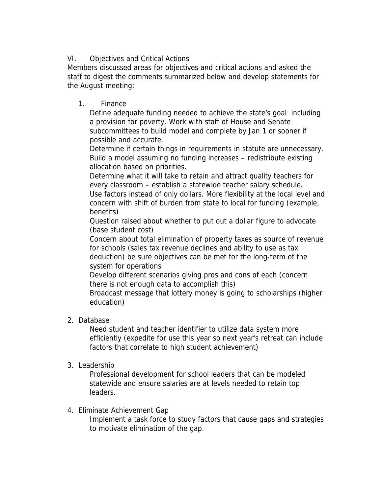# VI. Objectives and Critical Actions

Members discussed areas for objectives and critical actions and asked the staff to digest the comments summarized below and develop statements for the August meeting:

1. Finance

Define adequate funding needed to achieve the state's goal including a provision for poverty. Work with staff of House and Senate subcommittees to build model and complete by Jan 1 or sooner if possible and accurate.

Determine if certain things in requirements in statute are unnecessary. Build a model assuming no funding increases – redistribute existing allocation based on priorities.

Determine what it will take to retain and attract quality teachers for every classroom – establish a statewide teacher salary schedule. Use factors instead of only dollars. More flexibility at the local level and concern with shift of burden from state to local for funding (example, benefits)

Question raised about whether to put out a dollar figure to advocate (base student cost)

Concern about total elimination of property taxes as source of revenue for schools (sales tax revenue declines and ability to use as tax deduction) be sure objectives can be met for the long-term of the system for operations

Develop different scenarios giving pros and cons of each (concern there is not enough data to accomplish this)

Broadcast message that lottery money is going to scholarships (higher education)

2. Database

Need student and teacher identifier to utilize data system more efficiently (expedite for use this year so next year's retreat can include factors that correlate to high student achievement)

3. Leadership

Professional development for school leaders that can be modeled statewide and ensure salaries are at levels needed to retain top leaders.

4. Eliminate Achievement Gap

Implement a task force to study factors that cause gaps and strategies to motivate elimination of the gap.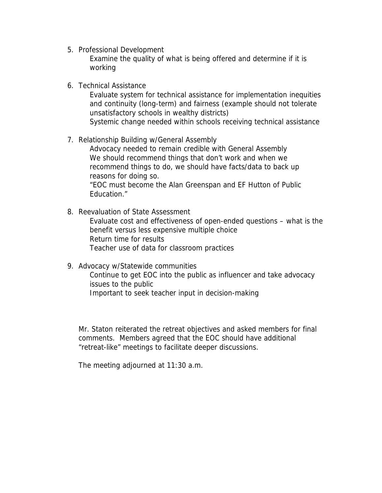5. Professional Development

Examine the quality of what is being offered and determine if it is working

6. Technical Assistance

Evaluate system for technical assistance for implementation inequities and continuity (long-term) and fairness (example should not tolerate unsatisfactory schools in wealthy districts)

Systemic change needed within schools receiving technical assistance

7. Relationship Building w/General Assembly

Advocacy needed to remain credible with General Assembly We should recommend things that don't work and when we recommend things to do, we should have facts/data to back up reasons for doing so. "EOC must become the Alan Greenspan and EF Hutton of Public

Education."

8. Reevaluation of State Assessment

Evaluate cost and effectiveness of open-ended questions – what is the benefit versus less expensive multiple choice Return time for results Teacher use of data for classroom practices

9. Advocacy w/Statewide communities Continue to get EOC into the public as influencer and take advocacy issues to the public Important to seek teacher input in decision-making

Mr. Staton reiterated the retreat objectives and asked members for final comments. Members agreed that the EOC should have additional "retreat-like" meetings to facilitate deeper discussions.

The meeting adjourned at 11:30 a.m.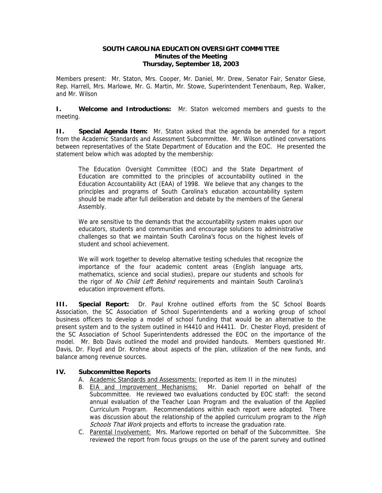#### **SOUTH CAROLINA EDUCATION OVERSIGHT COMMITTEE Minutes of the Meeting Thursday, September 18, 2003**

Members present: Mr. Staton, Mrs. Cooper, Mr. Daniel, Mr. Drew, Senator Fair, Senator Giese, Rep. Harrell, Mrs. Marlowe, Mr. G. Martin, Mr. Stowe, Superintendent Tenenbaum, Rep. Walker, and Mr. Wilson

**I. Welcome and Introductions:** Mr. Staton welcomed members and guests to the meeting.

**II. Special Agenda Item:** Mr. Staton asked that the agenda be amended for a report from the Academic Standards and Assessment Subcommittee. Mr. Wilson outlined conversations between representatives of the State Department of Education and the EOC. He presented the statement below which was adopted by the membership:

The Education Oversight Committee (EOC) and the State Department of Education are committed to the principles of accountability outlined in the Education Accountability Act (EAA) of 1998. We believe that any changes to the principles and programs of South Carolina's education accountability system should be made after full deliberation and debate by the members of the General Assembly.

We are sensitive to the demands that the accountability system makes upon our educators, students and communities and encourage solutions to administrative challenges so that we maintain South Carolina's focus on the highest levels of student and school achievement.

We will work together to develop alternative testing schedules that recognize the importance of the four academic content areas (English language arts, mathematics, science and social studies), prepare our students and schools for the rigor of No Child Left Behind requirements and maintain South Carolina's education improvement efforts.

**III. Special Report:** Dr. Paul Krohne outlined efforts from the SC School Boards Association, the SC Association of School Superintendents and a working group of school business officers to develop a model of school funding that would be an alternative to the present system and to the system outlined in H4410 and H4411. Dr. Chester Floyd, president of the SC Association of School Superintendents addressed the EOC on the importance of the model. Mr. Bob Davis outlined the model and provided handouts. Members questioned Mr. Davis, Dr. Floyd and Dr. Krohne about aspects of the plan, utilization of the new funds, and balance among revenue sources.

### **IV. Subcommittee Reports**

- A. Academic Standards and Assessments: (reported as item II in the minutes)
- B. EIA and Improvement Mechanisms: Mr. Daniel reported on behalf of the Subcommittee. He reviewed two evaluations conducted by EOC staff: the second annual evaluation of the Teacher Loan Program and the evaluation of the Applied Curriculum Program. Recommendations within each report were adopted. There was discussion about the relationship of the applied curriculum program to the *High* Schools That Work projects and efforts to increase the graduation rate.
- C. Parental Involvement: Mrs. Marlowe reported on behalf of the Subcommittee. She reviewed the report from focus groups on the use of the parent survey and outlined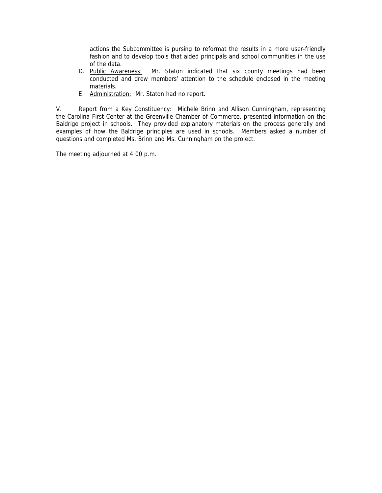actions the Subcommittee is pursing to reformat the results in a more user-friendly fashion and to develop tools that aided principals and school communities in the use of the data.

- D. Public Awareness: Mr. Staton indicated that six county meetings had been conducted and drew members' attention to the schedule enclosed in the meeting materials.
- E. Administration: Mr. Staton had no report.

V. Report from a Key Constituency: Michele Brinn and Allison Cunningham, representing the Carolina First Center at the Greenville Chamber of Commerce, presented information on the Baldrige project in schools. They provided explanatory materials on the process generally and examples of how the Baldrige principles are used in schools. Members asked a number of questions and completed Ms. Brinn and Ms. Cunningham on the project.

The meeting adjourned at 4:00 p.m.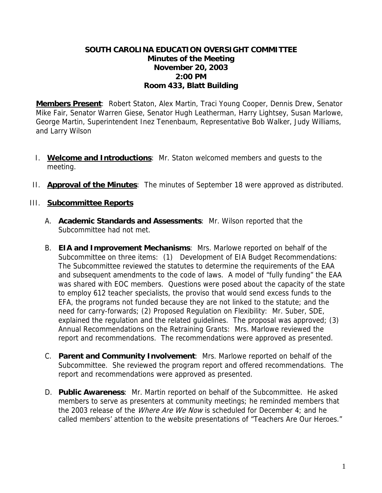# **SOUTH CAROLINA EDUCATION OVERSIGHT COMMITTEE Minutes of the Meeting November 20, 2003 2:00 PM Room 433, Blatt Building**

**Members Present**: Robert Staton, Alex Martin, Traci Young Cooper, Dennis Drew, Senator Mike Fair, Senator Warren Giese, Senator Hugh Leatherman, Harry Lightsey, Susan Marlowe, George Martin, Superintendent Inez Tenenbaum, Representative Bob Walker, Judy Williams, and Larry Wilson

- I. **Welcome and Introductions**: Mr. Staton welcomed members and guests to the meeting.
- II. **Approval of the Minutes**: The minutes of September 18 were approved as distributed.

## III. **Subcommittee Reports**

- A. **Academic Standards and Assessments**: Mr. Wilson reported that the Subcommittee had not met.
- B. **EIA and Improvement Mechanisms**: Mrs. Marlowe reported on behalf of the Subcommittee on three items: (1) Development of EIA Budget Recommendations: The Subcommittee reviewed the statutes to determine the requirements of the EAA and subsequent amendments to the code of laws. A model of "fully funding" the EAA was shared with EOC members. Questions were posed about the capacity of the state to employ 612 teacher specialists, the proviso that would send excess funds to the EFA, the programs not funded because they are not linked to the statute; and the need for carry-forwards; (2) Proposed Regulation on Flexibility: Mr. Suber, SDE, explained the regulation and the related guidelines. The proposal was approved; (3) Annual Recommendations on the Retraining Grants: Mrs. Marlowe reviewed the report and recommendations. The recommendations were approved as presented.
- C. **Parent and Community Involvement**: Mrs. Marlowe reported on behalf of the Subcommittee. She reviewed the program report and offered recommendations. The report and recommendations were approved as presented.
- D. **Public Awareness**: Mr. Martin reported on behalf of the Subcommittee. He asked members to serve as presenters at community meetings; he reminded members that the 2003 release of the *Where Are We Now* is scheduled for December 4; and he called members' attention to the website presentations of "Teachers Are Our Heroes."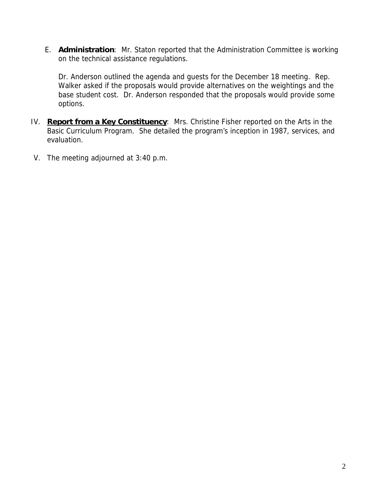E. **Administration**: Mr. Staton reported that the Administration Committee is working on the technical assistance regulations.

Dr. Anderson outlined the agenda and guests for the December 18 meeting. Rep. Walker asked if the proposals would provide alternatives on the weightings and the base student cost. Dr. Anderson responded that the proposals would provide some options.

- IV. **Report from a Key Constituency**: Mrs. Christine Fisher reported on the Arts in the Basic Curriculum Program. She detailed the program's inception in 1987, services, and evaluation.
- V. The meeting adjourned at 3:40 p.m.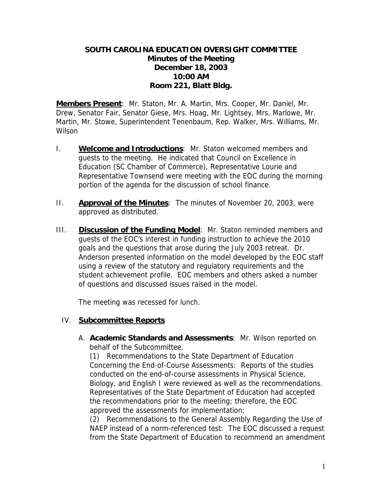# **SOUTH CAROLINA EDUCATION OVERSIGHT COMMITTEE Minutes of the Meeting December 18, 2003 10:00 AM Room 221, Blatt Bldg.**

**Members Present**: Mr. Staton, Mr. A. Martin, Mrs. Cooper, Mr. Daniel, Mr. Drew, Senator Fair, Senator Giese, Mrs. Hoag, Mr. Lightsey, Mrs. Marlowe, Mr. Martin, Mr. Stowe, Superintendent Tenenbaum, Rep. Walker, Mrs. Williams, Mr. Wilson

- I. **Welcome and Introductions**: Mr. Staton welcomed members and guests to the meeting. He indicated that Council on Excellence in Education (SC Chamber of Commerce), Representative Lourie and Representative Townsend were meeting with the EOC during the morning portion of the agenda for the discussion of school finance.
- II. **Approval of the Minutes**: The minutes of November 20, 2003, were approved as distributed.
- III. **Discussion of the Funding Model**: Mr. Staton reminded members and guests of the EOC's interest in funding instruction to achieve the 2010 goals and the questions that arose during the July 2003 retreat. Dr. Anderson presented information on the model developed by the EOC staff using a review of the statutory and regulatory requirements and the student achievement profile. EOC members and others asked a number of questions and discussed issues raised in the model.

The meeting was recessed for lunch.

### IV. **Subcommittee Reports**

A. **Academic Standards and Assessments**: Mr. Wilson reported on behalf of the Subcommittee.

 (1) Recommendations to the State Department of Education Concerning the End-of-Course Assessments: Reports of the studies conducted on the end-of-course assessments in Physical Science, Biology, and English I were reviewed as well as the recommendations. Representatives of the State Department of Education had accepted the recommendations prior to the meeting; therefore, the EOC approved the assessments for implementation;

 (2) Recommendations to the General Assembly Regarding the Use of NAEP instead of a norm-referenced test: The EOC discussed a request from the State Department of Education to recommend an amendment